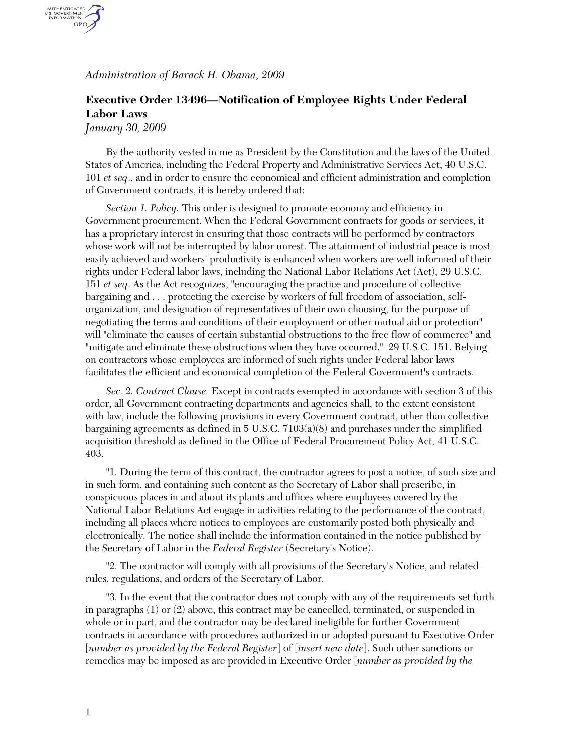*Administration of Barack H. Obama, 2009* 

## **Executive Order 13496—Notification of Employee Rights Under Federal Labor Laws**

*January 30, 2009*

AUTHENTICATED<br>U.S. GOVERNMENT<br>INFORMATION GPO

> By the authority vested in me as President by the Constitution and the laws of the United States of America, including the Federal Property and Administrative Services Act, 40 U.S.C. 101 *et seq*., and in order to ensure the economical and efficient administration and completion of Government contracts, it is hereby ordered that:

> *Section 1. Policy.* This order is designed to promote economy and efficiency in Government procurement. When the Federal Government contracts for goods or services, it has a proprietary interest in ensuring that those contracts will be performed by contractors whose work will not be interrupted by labor unrest. The attainment of industrial peace is most easily achieved and workers' productivity is enhanced when workers are well informed of their rights under Federal labor laws, including the National Labor Relations Act (Act), 29 U.S.C. 151 *et seq*. As the Act recognizes, "encouraging the practice and procedure of collective bargaining and . . . protecting the exercise by workers of full freedom of association, selforganization, and designation of representatives of their own choosing, for the purpose of negotiating the terms and conditions of their employment or other mutual aid or protection" will "eliminate the causes of certain substantial obstructions to the free flow of commerce" and "mitigate and eliminate these obstructions when they have occurred." 29 U.S.C. 151. Relying on contractors whose employees are informed of such rights under Federal labor laws facilitates the efficient and economical completion of the Federal Government's contracts.

> *Sec. 2. Contract Clause.* Except in contracts exempted in accordance with section 3 of this order, all Government contracting departments and agencies shall, to the extent consistent with law, include the following provisions in every Government contract, other than collective bargaining agreements as defined in 5 U.S.C. 7103(a)(8) and purchases under the simplified acquisition threshold as defined in the Office of Federal Procurement Policy Act, 41 U.S.C. 403.

> "1. During the term of this contract, the contractor agrees to post a notice, of such size and in such form, and containing such content as the Secretary of Labor shall prescribe, in conspicuous places in and about its plants and offices where employees covered by the National Labor Relations Act engage in activities relating to the performance of the contract, including all places where notices to employees are customarily posted both physically and electronically. The notice shall include the information contained in the notice published by the Secretary of Labor in the *Federal Register* (Secretary's Notice).

"2. The contractor will comply with all provisions of the Secretary's Notice, and related rules, regulations, and orders of the Secretary of Labor.

"3. In the event that the contractor does not comply with any of the requirements set forth in paragraphs (1) or (2) above, this contract may be cancelled, terminated, or suspended in whole or in part, and the contractor may be declared ineligible for further Government contracts in accordance with procedures authorized in or adopted pursuant to Executive Order [*number as provided by the Federal Register*] of [*insert new date*]. Such other sanctions or remedies may be imposed as are provided in Executive Order [*number as provided by the*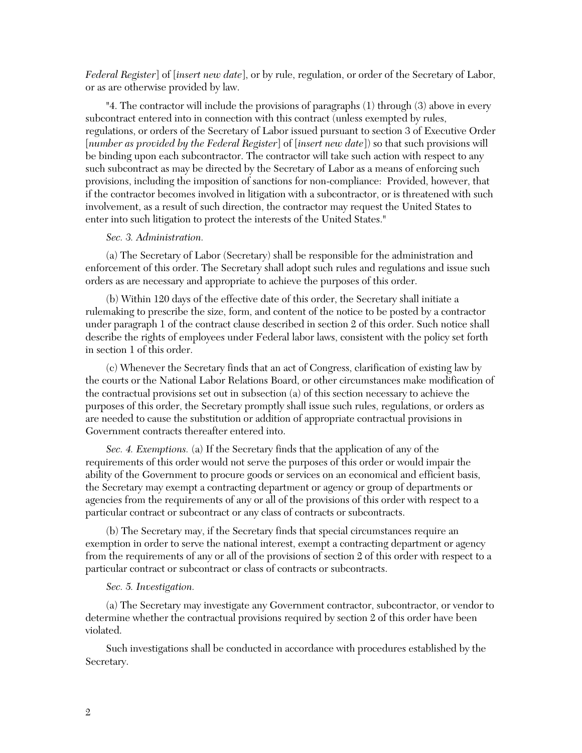*Federal Register*] of [*insert new date*], or by rule, regulation, or order of the Secretary of Labor, or as are otherwise provided by law.

"4. The contractor will include the provisions of paragraphs (1) through (3) above in every subcontract entered into in connection with this contract (unless exempted by rules, regulations, or orders of the Secretary of Labor issued pursuant to section 3 of Executive Order [*number as provided by the Federal Register*] of [*insert new date*]) so that such provisions will be binding upon each subcontractor. The contractor will take such action with respect to any such subcontract as may be directed by the Secretary of Labor as a means of enforcing such provisions, including the imposition of sanctions for non-compliance: Provided, however, that if the contractor becomes involved in litigation with a subcontractor, or is threatened with such involvement, as a result of such direction, the contractor may request the United States to enter into such litigation to protect the interests of the United States."

## *Sec. 3. Administration.*

(a) The Secretary of Labor (Secretary) shall be responsible for the administration and enforcement of this order. The Secretary shall adopt such rules and regulations and issue such orders as are necessary and appropriate to achieve the purposes of this order.

(b) Within 120 days of the effective date of this order, the Secretary shall initiate a rulemaking to prescribe the size, form, and content of the notice to be posted by a contractor under paragraph 1 of the contract clause described in section 2 of this order. Such notice shall describe the rights of employees under Federal labor laws, consistent with the policy set forth in section 1 of this order.

(c) Whenever the Secretary finds that an act of Congress, clarification of existing law by the courts or the National Labor Relations Board, or other circumstances make modification of the contractual provisions set out in subsection (a) of this section necessary to achieve the purposes of this order, the Secretary promptly shall issue such rules, regulations, or orders as are needed to cause the substitution or addition of appropriate contractual provisions in Government contracts thereafter entered into.

*Sec. 4. Exemptions.* (a) If the Secretary finds that the application of any of the requirements of this order would not serve the purposes of this order or would impair the ability of the Government to procure goods or services on an economical and efficient basis, the Secretary may exempt a contracting department or agency or group of departments or agencies from the requirements of any or all of the provisions of this order with respect to a particular contract or subcontract or any class of contracts or subcontracts.

(b) The Secretary may, if the Secretary finds that special circumstances require an exemption in order to serve the national interest, exempt a contracting department or agency from the requirements of any or all of the provisions of section 2 of this order with respect to a particular contract or subcontract or class of contracts or subcontracts.

## *Sec. 5. Investigation.*

(a) The Secretary may investigate any Government contractor, subcontractor, or vendor to determine whether the contractual provisions required by section 2 of this order have been violated.

Such investigations shall be conducted in accordance with procedures established by the Secretary.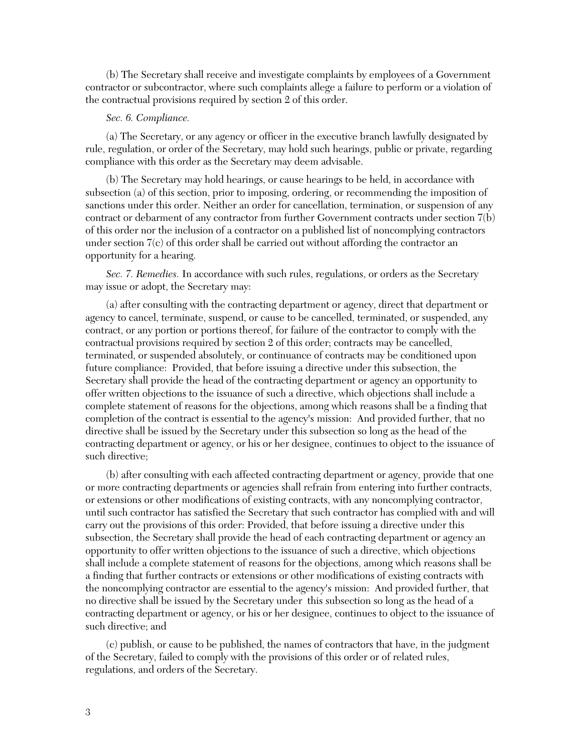(b) The Secretary shall receive and investigate complaints by employees of a Government contractor or subcontractor, where such complaints allege a failure to perform or a violation of the contractual provisions required by section 2 of this order.

## *Sec. 6. Compliance.*

(a) The Secretary, or any agency or officer in the executive branch lawfully designated by rule, regulation, or order of the Secretary, may hold such hearings, public or private, regarding compliance with this order as the Secretary may deem advisable.

(b) The Secretary may hold hearings, or cause hearings to be held, in accordance with subsection (a) of this section, prior to imposing, ordering, or recommending the imposition of sanctions under this order. Neither an order for cancellation, termination, or suspension of any contract or debarment of any contractor from further Government contracts under section 7(b) of this order nor the inclusion of a contractor on a published list of noncomplying contractors under section  $7(c)$  of this order shall be carried out without affording the contractor an opportunity for a hearing.

*Sec. 7. Remedies.* In accordance with such rules, regulations, or orders as the Secretary may issue or adopt, the Secretary may:

(a) after consulting with the contracting department or agency, direct that department or agency to cancel, terminate, suspend, or cause to be cancelled, terminated, or suspended, any contract, or any portion or portions thereof, for failure of the contractor to comply with the contractual provisions required by section 2 of this order; contracts may be cancelled, terminated, or suspended absolutely, or continuance of contracts may be conditioned upon future compliance: Provided, that before issuing a directive under this subsection, the Secretary shall provide the head of the contracting department or agency an opportunity to offer written objections to the issuance of such a directive, which objections shall include a complete statement of reasons for the objections, among which reasons shall be a finding that completion of the contract is essential to the agency's mission: And provided further, that no directive shall be issued by the Secretary under this subsection so long as the head of the contracting department or agency, or his or her designee, continues to object to the issuance of such directive;

(b) after consulting with each affected contracting department or agency, provide that one or more contracting departments or agencies shall refrain from entering into further contracts, or extensions or other modifications of existing contracts, with any noncomplying contractor, until such contractor has satisfied the Secretary that such contractor has complied with and will carry out the provisions of this order: Provided, that before issuing a directive under this subsection, the Secretary shall provide the head of each contracting department or agency an opportunity to offer written objections to the issuance of such a directive, which objections shall include a complete statement of reasons for the objections, among which reasons shall be a finding that further contracts or extensions or other modifications of existing contracts with the noncomplying contractor are essential to the agency's mission: And provided further, that no directive shall be issued by the Secretary under this subsection so long as the head of a contracting department or agency, or his or her designee, continues to object to the issuance of such directive; and

(c) publish, or cause to be published, the names of contractors that have, in the judgment of the Secretary, failed to comply with the provisions of this order or of related rules, regulations, and orders of the Secretary.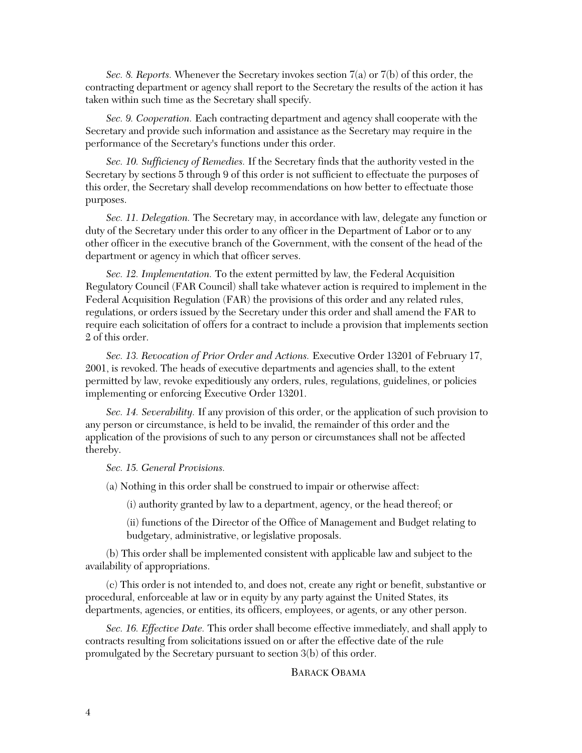*Sec. 8. Reports.* Whenever the Secretary invokes section 7(a) or 7(b) of this order, the contracting department or agency shall report to the Secretary the results of the action it has taken within such time as the Secretary shall specify.

*Sec. 9. Cooperation.* Each contracting department and agency shall cooperate with the Secretary and provide such information and assistance as the Secretary may require in the performance of the Secretary's functions under this order.

*Sec. 10. Sufficiency of Remedies.* If the Secretary finds that the authority vested in the Secretary by sections 5 through 9 of this order is not sufficient to effectuate the purposes of this order, the Secretary shall develop recommendations on how better to effectuate those purposes.

*Sec. 11. Delegation.* The Secretary may, in accordance with law, delegate any function or duty of the Secretary under this order to any officer in the Department of Labor or to any other officer in the executive branch of the Government, with the consent of the head of the department or agency in which that officer serves.

*Sec. 12. Implementation.* To the extent permitted by law, the Federal Acquisition Regulatory Council (FAR Council) shall take whatever action is required to implement in the Federal Acquisition Regulation (FAR) the provisions of this order and any related rules, regulations, or orders issued by the Secretary under this order and shall amend the FAR to require each solicitation of offers for a contract to include a provision that implements section 2 of this order.

*Sec. 13. Revocation of Prior Order and Actions.* Executive Order 13201 of February 17, 2001, is revoked. The heads of executive departments and agencies shall, to the extent permitted by law, revoke expeditiously any orders, rules, regulations, guidelines, or policies implementing or enforcing Executive Order 13201.

*Sec. 14. Severability.* If any provision of this order, or the application of such provision to any person or circumstance, is held to be invalid, the remainder of this order and the application of the provisions of such to any person or circumstances shall not be affected thereby.

*Sec. 15. General Provisions.*

(a) Nothing in this order shall be construed to impair or otherwise affect:

(i) authority granted by law to a department, agency, or the head thereof; or

(ii) functions of the Director of the Office of Management and Budget relating to budgetary, administrative, or legislative proposals.

(b) This order shall be implemented consistent with applicable law and subject to the availability of appropriations.

(c) This order is not intended to, and does not, create any right or benefit, substantive or procedural, enforceable at law or in equity by any party against the United States, its departments, agencies, or entities, its officers, employees, or agents, or any other person.

*Sec. 16. Effective Date.* This order shall become effective immediately, and shall apply to contracts resulting from solicitations issued on or after the effective date of the rule promulgated by the Secretary pursuant to section 3(b) of this order.

BARACK OBAMA